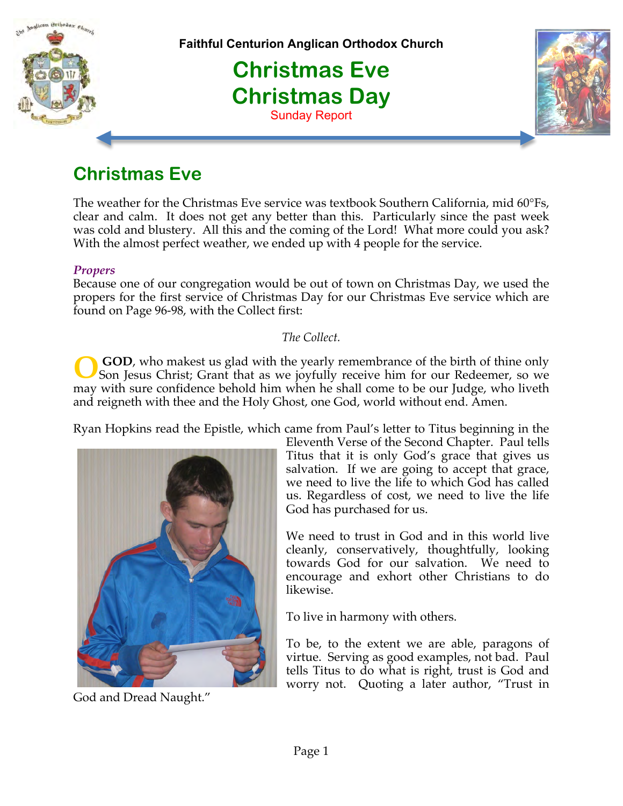



The weather for the Christmas Eve service was textbook Southern California, mid 60°Fs, clear and calm. It does not get any better than this. Particularly since the past week was cold and blustery. All this and the coming of the Lord! What more could you ask? With the almost perfect weather, we ended up with 4 people for the service.

#### *Propers*

Because one of our congregation would be out of town on Christmas Day, we used the propers for the first service of Christmas Day for our Christmas Eve service which are found on Page 96-98, with the Collect first:

*The Collect.*

 **GOD**, who makest us glad with the yearly remembrance of the birth of thine only Son Jesus Christ; Grant that as we joyfully receive him for our Redeemer, so we may with sure confidence behold him when he shall come to be our Judge, who liveth and reigneth with thee and the Holy Ghost, one God, world without end. Amen. **O**

Ryan Hopkins read the Epistle, which came from Paul's letter to Titus beginning in the



God and Dread Naught."

Eleventh Verse of the Second Chapter. Paul tells Titus that it is only God's grace that gives us salvation. If we are going to accept that grace, we need to live the life to which God has called us. Regardless of cost, we need to live the life God has purchased for us.

We need to trust in God and in this world live cleanly, conservatively, thoughtfully, looking towards God for our salvation. We need to encourage and exhort other Christians to do likewise.

To live in harmony with others.

To be, to the extent we are able, paragons of virtue. Serving as good examples, not bad. Paul tells Titus to do what is right, trust is God and worry not. Quoting a later author, "Trust in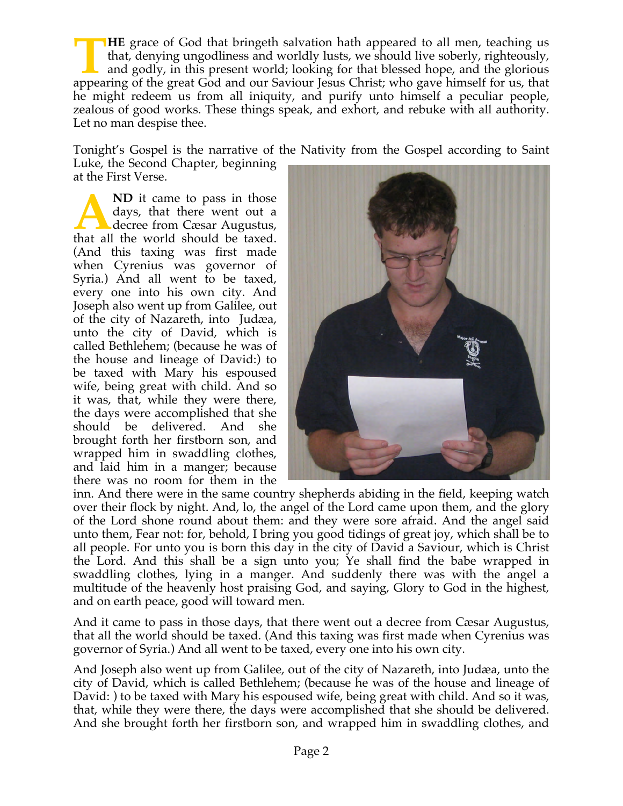**HE** grace of God that bringeth salvation hath appeared to all men, teaching us that, denying ungodliness and worldly lusts, we should live soberly, righteously, and godly, in this present world; looking for that blessed hope, and the glorious **APPED STARK A** grace of God that bringeth salvation hath appeared to all men, teaching us that, denying ungodliness and worldly lusts, we should live soberly, righteously, and godly, in this present world; looking for tha he might redeem us from all iniquity, and purify unto himself a peculiar people, zealous of good works. These things speak, and exhort, and rebuke with all authority. Let no man despise thee.

Tonight's Gospel is the narrative of the Nativity from the Gospel according to Saint Luke, the Second Chapter, beginning at the First Verse.

**ND** it came to pass in those days, that there went out a decree from Cæsar Augustus, **A** ND it came to pass in those days, that there went out a decree from Cæsar Augustus, that all the world should be taxed. (And this taxing was first made when Cyrenius was governor of Syria.) And all went to be taxed, every one into his own city. And Joseph also went up from Galilee, out of the city of Nazareth, into Judæa, unto the city of David, which is called Bethlehem; (because he was of the house and lineage of David:) to be taxed with Mary his espoused wife, being great with child. And so it was, that, while they were there, the days were accomplished that she should be delivered. And she brought forth her firstborn son, and wrapped him in swaddling clothes, and laid him in a manger; because there was no room for them in the



inn. And there were in the same country shepherds abiding in the field, keeping watch over their flock by night. And, lo, the angel of the Lord came upon them, and the glory of the Lord shone round about them: and they were sore afraid. And the angel said unto them, Fear not: for, behold, I bring you good tidings of great joy, which shall be to all people. For unto you is born this day in the city of David a Saviour, which is Christ the Lord. And this shall be a sign unto you; Ye shall find the babe wrapped in swaddling clothes, lying in a manger. And suddenly there was with the angel a multitude of the heavenly host praising God, and saying, Glory to God in the highest, and on earth peace, good will toward men.

And it came to pass in those days, that there went out a decree from Cæsar Augustus, that all the world should be taxed. (And this taxing was first made when Cyrenius was governor of Syria.) And all went to be taxed, every one into his own city.

And Joseph also went up from Galilee, out of the city of Nazareth, into Judæa, unto the city of David, which is called Bethlehem; (because he was of the house and lineage of David: ) to be taxed with Mary his espoused wife, being great with child. And so it was, that, while they were there, the days were accomplished that she should be delivered. And she brought forth her firstborn son, and wrapped him in swaddling clothes, and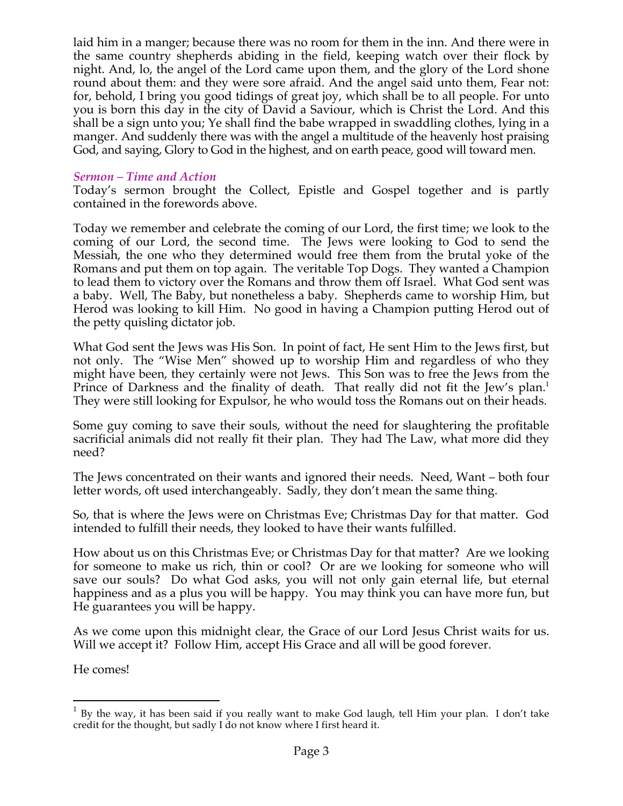laid him in a manger; because there was no room for them in the inn. And there were in the same country shepherds abiding in the field, keeping watch over their flock by night. And, lo, the angel of the Lord came upon them, and the glory of the Lord shone round about them: and they were sore afraid. And the angel said unto them, Fear not: for, behold, I bring you good tidings of great joy, which shall be to all people. For unto you is born this day in the city of David a Saviour, which is Christ the Lord. And this shall be a sign unto you; Ye shall find the babe wrapped in swaddling clothes, lying in a manger. And suddenly there was with the angel a multitude of the heavenly host praising God, and saying, Glory to God in the highest, and on earth peace, good will toward men.

#### *Sermon – Time and Action*

Today's sermon brought the Collect, Epistle and Gospel together and is partly contained in the forewords above.

Today we remember and celebrate the coming of our Lord, the first time; we look to the coming of our Lord, the second time. The Jews were looking to God to send the Messiah, the one who they determined would free them from the brutal yoke of the Romans and put them on top again. The veritable Top Dogs. They wanted a Champion to lead them to victory over the Romans and throw them off Israel. What God sent was a baby. Well, The Baby, but nonetheless a baby. Shepherds came to worship Him, but Herod was looking to kill Him. No good in having a Champion putting Herod out of the petty quisling dictator job.

What God sent the Jews was His Son. In point of fact, He sent Him to the Jews first, but not only. The "Wise Men" showed up to worship Him and regardless of who they might have been, they certainly were not Jews. This Son was to free the Jews from the Prince of Darkness and the finality of death. That really did not fit the Jew's plan.<sup>1</sup> They were still looking for Expulsor, he who would toss the Romans out on their heads.

Some guy coming to save their souls, without the need for slaughtering the profitable sacrificial animals did not really fit their plan. They had The Law, what more did they need?

The Jews concentrated on their wants and ignored their needs. Need, Want – both four letter words, oft used interchangeably. Sadly, they don't mean the same thing.

So, that is where the Jews were on Christmas Eve; Christmas Day for that matter. God intended to fulfill their needs, they looked to have their wants fulfilled.

How about us on this Christmas Eve; or Christmas Day for that matter? Are we looking for someone to make us rich, thin or cool? Or are we looking for someone who will save our souls? Do what God asks, you will not only gain eternal life, but eternal happiness and as a plus you will be happy. You may think you can have more fun, but He guarantees you will be happy.

As we come upon this midnight clear, the Grace of our Lord Jesus Christ waits for us. Will we accept it? Follow Him, accept His Grace and all will be good forever.

He comes!

 $1$  By the way, it has been said if you really want to make God laugh, tell Him your plan. I don't take credit for the thought, but sadly I do not know where I first heard it.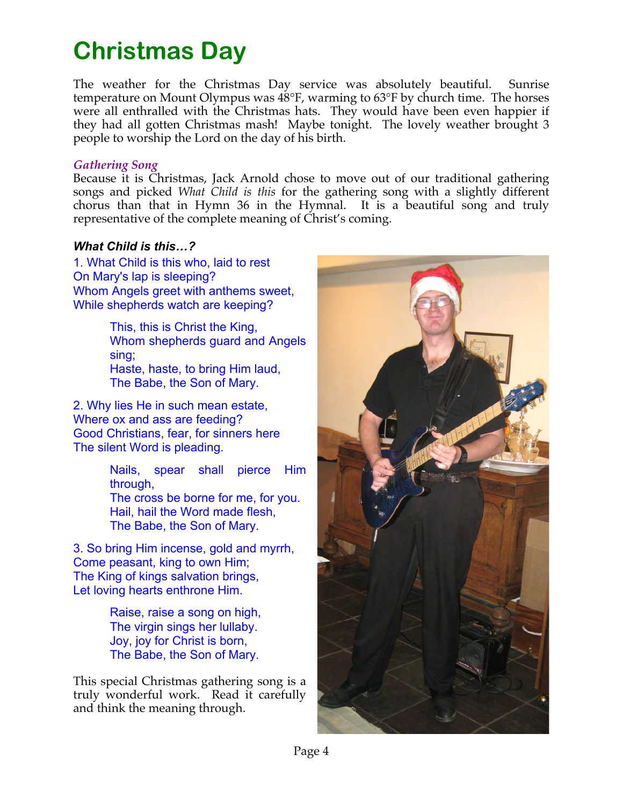# **Christmas Day**

The weather for the Christmas Day service was absolutely beautiful. Sunrise temperature on Mount Olympus was 48°F, warming to 63°F by church time. The horses were all enthralled with the Christmas hats. They would have been even happier if they had all gotten Christmas mash! Maybe tonight. The lovely weather brought 3 people to worship the Lord on the day of his birth.

## *Gathering Song*

Because it is Christmas, Jack Arnold chose to move out of our traditional gathering songs and picked *What Child is this* for the gathering song with a slightly different chorus than that in Hymn 36 in the Hymnal. It is a beautiful song and truly representative of the complete meaning of Christ's coming.

## *What Child is this…?*

1. What Child is this who, laid to rest On Mary's lap is sleeping? Whom Angels greet with anthems sweet, While shepherds watch are keeping?

> This, this is Christ the King, Whom shepherds guard and Angels sing; Haste, haste, to bring Him laud, The Babe, the Son of Mary.

2. Why lies He in such mean estate, Where ox and ass are feeding? Good Christians, fear, for sinners here The silent Word is pleading.

> Nails, spear shall pierce Him through,

The cross be borne for me, for you. Hail, hail the Word made flesh, The Babe, the Son of Mary.

3. So bring Him incense, gold and myrrh, Come peasant, king to own Him; The King of kings salvation brings, Let loving hearts enthrone Him.

> Raise, raise a song on high, The virgin sings her lullaby. Joy, joy for Christ is born, The Babe, the Son of Mary.

This special Christmas gathering song is a truly wonderful work. Read it carefully and think the meaning through.

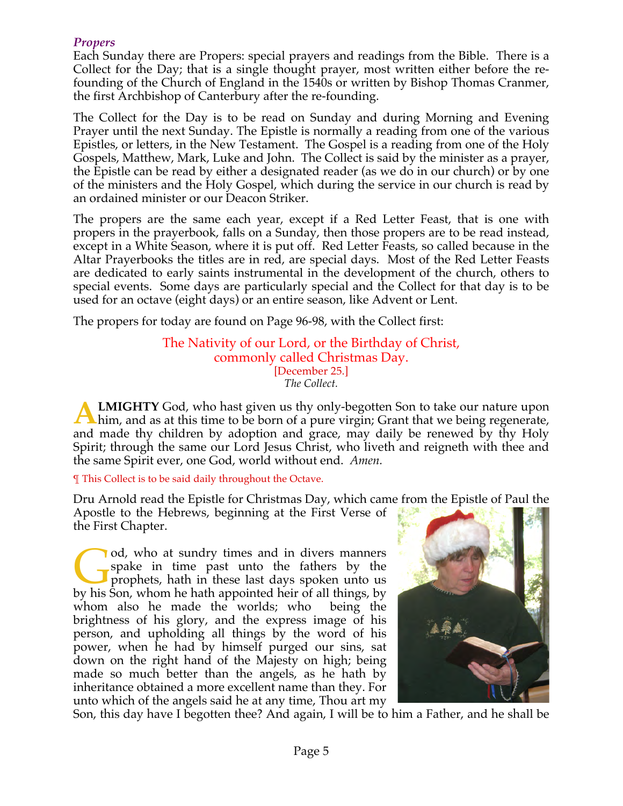## *Propers*

Each Sunday there are Propers: special prayers and readings from the Bible. There is a Collect for the Day; that is a single thought prayer, most written either before the refounding of the Church of England in the 1540s or written by Bishop Thomas Cranmer, the first Archbishop of Canterbury after the re-founding.

The Collect for the Day is to be read on Sunday and during Morning and Evening Prayer until the next Sunday. The Epistle is normally a reading from one of the various Epistles, or letters, in the New Testament. The Gospel is a reading from one of the Holy Gospels, Matthew, Mark, Luke and John. The Collect is said by the minister as a prayer, the Epistle can be read by either a designated reader (as we do in our church) or by one of the ministers and the Holy Gospel, which during the service in our church is read by an ordained minister or our Deacon Striker.

The propers are the same each year, except if a Red Letter Feast, that is one with propers in the prayerbook, falls on a Sunday, then those propers are to be read instead, except in a White Season, where it is put off. Red Letter Feasts, so called because in the Altar Prayerbooks the titles are in red, are special days. Most of the Red Letter Feasts are dedicated to early saints instrumental in the development of the church, others to special events. Some days are particularly special and the Collect for that day is to be used for an octave (eight days) or an entire season, like Advent or Lent.

The propers for today are found on Page 96-98, with the Collect first:

The Nativity of our Lord, or the Birthday of Christ, commonly called Christmas Day. [December 25.] *The Collect.*

**LMIGHTY** God, who hast given us thy only-begotten Son to take our nature upon **ALMIGHTY** God, who hast given us thy only-begotten Son to take our nature upon him, and as at this time to be born of a pure virgin; Grant that we being regenerate, and made thy children by adoption and grace, may daily be renewed by thy Holy Spirit; through the same our Lord Jesus Christ, who liveth and reigneth with thee and the same Spirit ever, one God, world without end. *Amen.*

¶ This Collect is to be said daily throughout the Octave.

Dru Arnold read the Epistle for Christmas Day, which came from the Epistle of Paul the

Apostle to the Hebrews, beginning at the First Verse of the First Chapter.

od, who at sundry times and in divers manners spake in time past unto the fathers by the prophets, hath in these last days spoken unto us od, who at sundry times and in divers manners spake in time past unto the fathers by the prophets, hath in these last days spoken unto us by his Son, whom he hath appointed heir of all things, by whom also he made the worlds; who being the brightness of his glory, and the express image of his person, and upholding all things by the word of his power, when he had by himself purged our sins, sat down on the right hand of the Majesty on high; being made so much better than the angels, as he hath by inheritance obtained a more excellent name than they. For unto which of the angels said he at any time, Thou art my



Son, this day have I begotten thee? And again, I will be to him a Father, and he shall be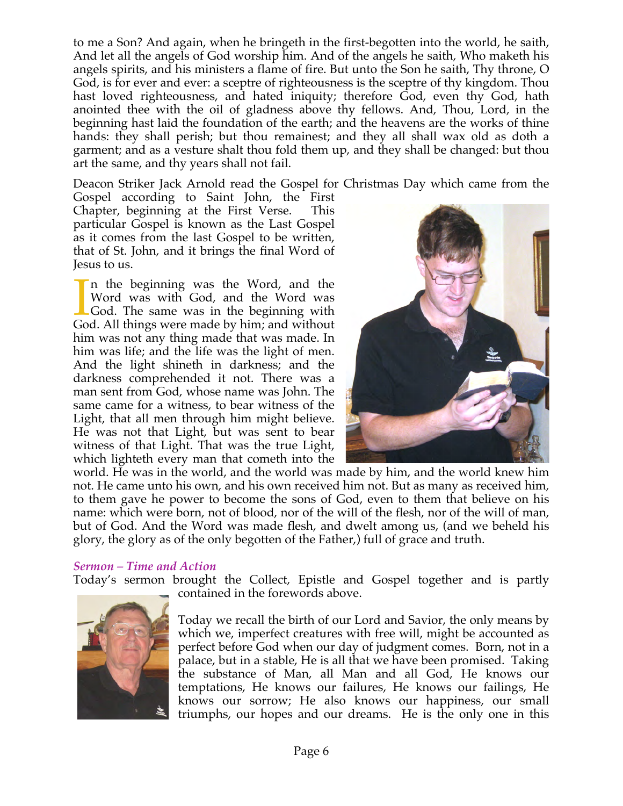to me a Son? And again, when he bringeth in the first-begotten into the world, he saith, And let all the angels of God worship him. And of the angels he saith, Who maketh his angels spirits, and his ministers a flame of fire. But unto the Son he saith, Thy throne, O God, is for ever and ever: a sceptre of righteousness is the sceptre of thy kingdom. Thou hast loved righteousness, and hated iniquity; therefore God, even thy God, hath anointed thee with the oil of gladness above thy fellows. And, Thou, Lord, in the beginning hast laid the foundation of the earth; and the heavens are the works of thine hands: they shall perish; but thou remainest; and they all shall wax old as doth a garment; and as a vesture shalt thou fold them up, and they shall be changed: but thou art the same, and thy years shall not fail.

Deacon Striker Jack Arnold read the Gospel for Christmas Day which came from the

Gospel according to Saint John, the First Chapter, beginning at the First Verse. This particular Gospel is known as the Last Gospel as it comes from the last Gospel to be written, that of St. John, and it brings the final Word of Jesus to us.

n the beginning was the Word, and the Word was with God, and the Word was God. The same was in the beginning with God. All things were made by him; and without him was not any thing made that was made. In him was life; and the life was the light of men. And the light shineth in darkness; and the darkness comprehended it not. There was a man sent from God, whose name was John. The same came for a witness, to bear witness of the Light, that all men through him might believe. He was not that Light, but was sent to bear witness of that Light. That was the true Light, which lighteth every man that cometh into the  $\prod_{\text{Go}}$ 



world. He was in the world, and the world was made by him, and the world knew him not. He came unto his own, and his own received him not. But as many as received him, to them gave he power to become the sons of God, even to them that believe on his name: which were born, not of blood, nor of the will of the flesh, nor of the will of man, but of God. And the Word was made flesh, and dwelt among us, (and we beheld his glory, the glory as of the only begotten of the Father,) full of grace and truth.

## *Sermon – Time and Action*

Today's sermon brought the Collect, Epistle and Gospel together and is partly



contained in the forewords above.

Today we recall the birth of our Lord and Savior, the only means by which we, imperfect creatures with free will, might be accounted as perfect before God when our day of judgment comes. Born, not in a palace, but in a stable, He is all that we have been promised. Taking the substance of Man, all Man and all God, He knows our temptations, He knows our failures, He knows our failings, He knows our sorrow; He also knows our happiness, our small triumphs, our hopes and our dreams. He is the only one in this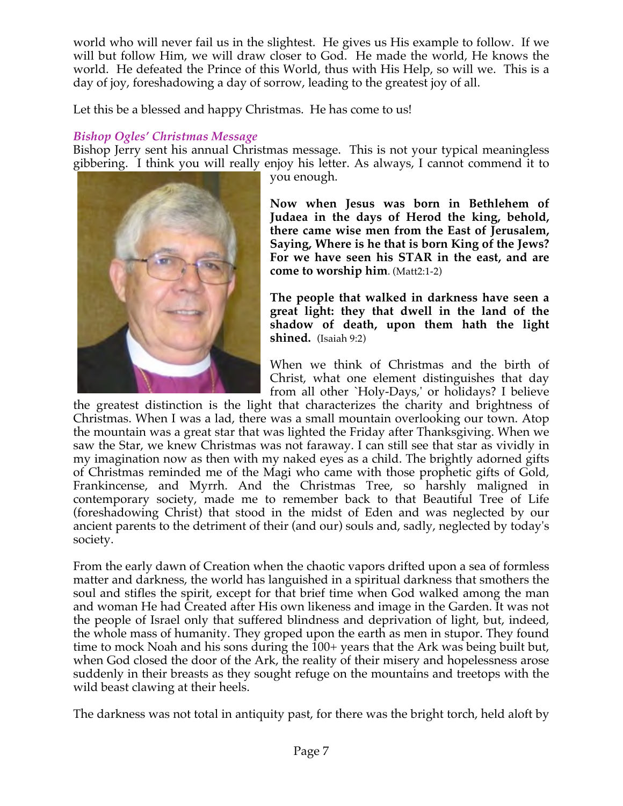world who will never fail us in the slightest. He gives us His example to follow. If we will but follow Him, we will draw closer to God. He made the world, He knows the world. He defeated the Prince of this World, thus with His Help, so will we. This is a day of joy, foreshadowing a day of sorrow, leading to the greatest joy of all.

Let this be a blessed and happy Christmas. He has come to us!

## *Bishop Ogles' Christmas Message*

Bishop Jerry sent his annual Christmas message. This is not your typical meaningless gibbering. I think you will really enjoy his letter. As always, I cannot commend it to



you enough.

**Now when Jesus was born in Bethlehem of Judaea in the days of Herod the king, behold, there came wise men from the East of Jerusalem, Saying, Where is he that is born King of the Jews? For we have seen his STAR in the east, and are come to worship him**. (Matt2:1-2)

**The people that walked in darkness have seen a great light: they that dwell in the land of the shadow of death, upon them hath the light shined.** (Isaiah 9:2)

When we think of Christmas and the birth of Christ, what one element distinguishes that day from all other `Holy-Days,' or holidays? I believe

the greatest distinction is the light that characterizes the charity and brightness of Christmas. When I was a lad, there was a small mountain overlooking our town. Atop the mountain was a great star that was lighted the Friday after Thanksgiving. When we saw the Star, we knew Christmas was not faraway. I can still see that star as vividly in my imagination now as then with my naked eyes as a child. The brightly adorned gifts of Christmas reminded me of the Magi who came with those prophetic gifts of Gold, Frankincense, and Myrrh. And the Christmas Tree, so harshly maligned in contemporary society, made me to remember back to that Beautiful Tree of Life (foreshadowing Christ) that stood in the midst of Eden and was neglected by our ancient parents to the detriment of their (and our) souls and, sadly, neglected by today's society.

From the early dawn of Creation when the chaotic vapors drifted upon a sea of formless matter and darkness, the world has languished in a spiritual darkness that smothers the soul and stifles the spirit, except for that brief time when God walked among the man and woman He had Created after His own likeness and image in the Garden. It was not the people of Israel only that suffered blindness and deprivation of light, but, indeed, the whole mass of humanity. They groped upon the earth as men in stupor. They found time to mock Noah and his sons during the 100+ years that the Ark was being built but, when God closed the door of the Ark, the reality of their misery and hopelessness arose suddenly in their breasts as they sought refuge on the mountains and treetops with the wild beast clawing at their heels.

The darkness was not total in antiquity past, for there was the bright torch, held aloft by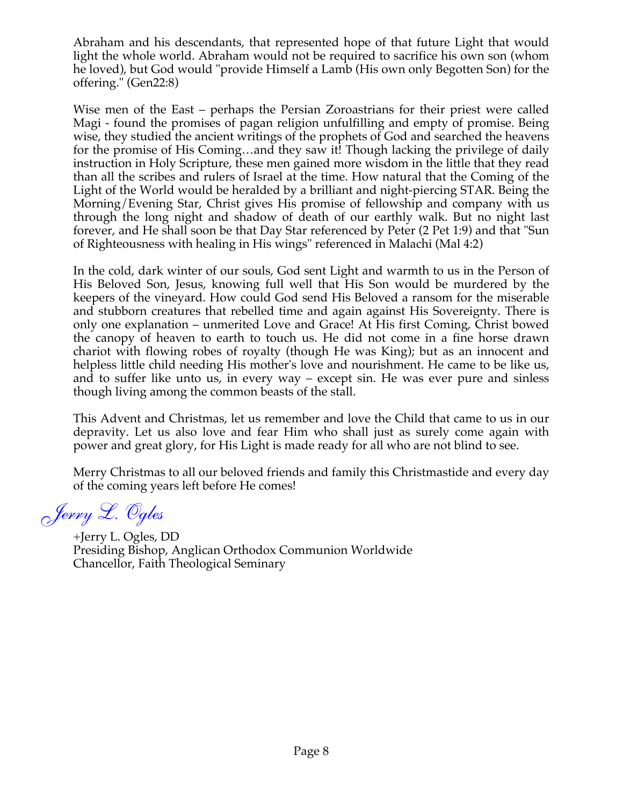Abraham and his descendants, that represented hope of that future Light that would light the whole world. Abraham would not be required to sacrifice his own son (whom he loved), but God would "provide Himself a Lamb (His own only Begotten Son) for the offering." (Gen22:8)

Wise men of the East – perhaps the Persian Zoroastrians for their priest were called Magi - found the promises of pagan religion unfulfilling and empty of promise. Being wise, they studied the ancient writings of the prophets of God and searched the heavens for the promise of His Coming…and they saw it! Though lacking the privilege of daily instruction in Holy Scripture, these men gained more wisdom in the little that they read than all the scribes and rulers of Israel at the time. How natural that the Coming of the Light of the World would be heralded by a brilliant and night-piercing STAR. Being the Morning/Evening Star, Christ gives His promise of fellowship and company with us through the long night and shadow of death of our earthly walk. But no night last forever, and He shall soon be that Day Star referenced by Peter (2 Pet 1:9) and that "Sun of Righteousness with healing in His wings" referenced in Malachi (Mal 4:2)

In the cold, dark winter of our souls, God sent Light and warmth to us in the Person of His Beloved Son, Jesus, knowing full well that His Son would be murdered by the keepers of the vineyard. How could God send His Beloved a ransom for the miserable and stubborn creatures that rebelled time and again against His Sovereignty. There is only one explanation – unmerited Love and Grace! At His first Coming, Christ bowed the canopy of heaven to earth to touch us. He did not come in a fine horse drawn chariot with flowing robes of royalty (though He was King); but as an innocent and helpless little child needing His mother's love and nourishment. He came to be like us, and to suffer like unto us, in every way – except sin. He was ever pure and sinless though living among the common beasts of the stall.

This Advent and Christmas, let us remember and love the Child that came to us in our depravity. Let us also love and fear Him who shall just as surely come again with power and great glory, for His Light is made ready for all who are not blind to see.

Merry Christmas to all our beloved friends and family this Christmastide and every day of the coming years left before He comes!

*Jerry L. Ogles*

+Jerry L. Ogles, DD Presiding Bishop, Anglican Orthodox Communion Worldwide Chancellor, Faith Theological Seminary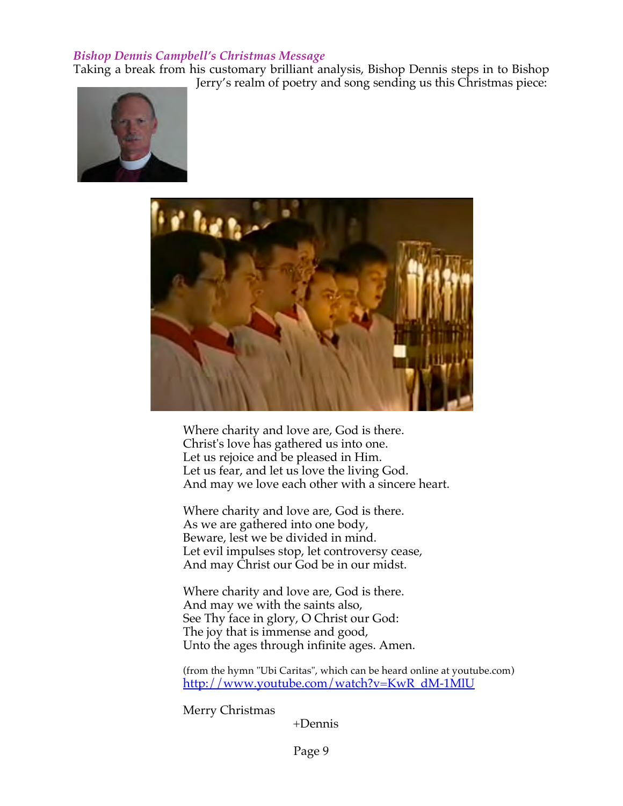## *Bishop Dennis Campbell's Christmas Message*

Taking a break from his customary brilliant analysis, Bishop Dennis steps in to Bishop Jerry's realm of poetry and song sending us this Christmas piece:





Where charity and love are, God is there. Christ's love has gathered us into one. Let us rejoice and be pleased in Him. Let us fear, and let us love the living God. And may we love each other with a sincere heart.

Where charity and love are, God is there. As we are gathered into one body, Beware, lest we be divided in mind. Let evil impulses stop, let controversy cease, And may Christ our God be in our midst.

Where charity and love are, God is there. And may we with the saints also, See Thy face in glory, O Christ our God: The joy that is immense and good, Unto the ages through infinite ages. Amen.

(from the hymn "Ubi Caritas", which can be heard online at youtube.com) http://www.youtube.com/watch?v=KwR\_dM-1MlU

Merry Christmas

+Dennis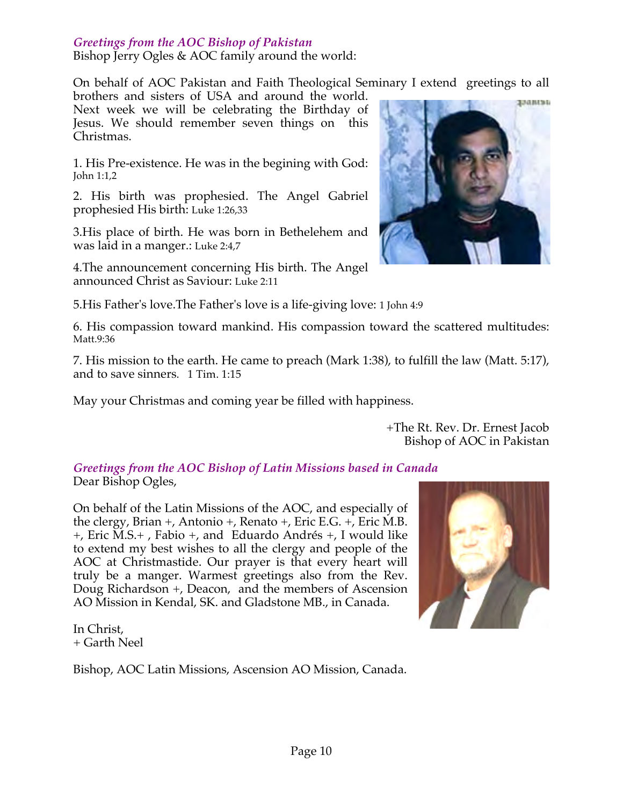## *Greetings from the AOC Bishop of Pakistan*

Bishop Jerry Ogles & AOC family around the world:

On behalf of AOC Pakistan and Faith Theological Seminary I extend greetings to all

brothers and sisters of USA and around the world. Next week we will be celebrating the Birthday of Jesus. We should remember seven things on this Christmas.

1. His Pre-existence. He was in the begining with God: John 1:1,2

2. His birth was prophesied. The Angel Gabriel prophesied His birth: Luke 1:26,33

3.His place of birth. He was born in Bethelehem and was laid in a manger.: Luke 2:4,7

4.The announcement concerning His birth. The Angel announced Christ as Saviour: Luke 2:11



6. His compassion toward mankind. His compassion toward the scattered multitudes: Matt.9:36

7. His mission to the earth. He came to preach (Mark 1:38), to fulfill the law (Matt. 5:17), and to save sinners. 1 Tim. 1:15

May your Christmas and coming year be filled with happiness.

+The Rt. Rev. Dr. Ernest Jacob Bishop of AOC in Pakistan

*Greetings from the AOC Bishop of Latin Missions based in Canada* Dear Bishop Ogles,

On behalf of the Latin Missions of the AOC, and especially of the clergy, Brian +, Antonio +, Renato +, Eric E.G. +, Eric M.B. +, Eric M.S.+ , Fabio +, and Eduardo Andrés +, I would like to extend my best wishes to all the clergy and people of the AOC at Christmastide. Our prayer is that every heart will truly be a manger. Warmest greetings also from the Rev. Doug Richardson +, Deacon, and the members of Ascension AO Mission in Kendal, SK. and Gladstone MB., in Canada.



In Christ, + Garth Neel

Bishop, AOC Latin Missions, Ascension AO Mission, Canada.

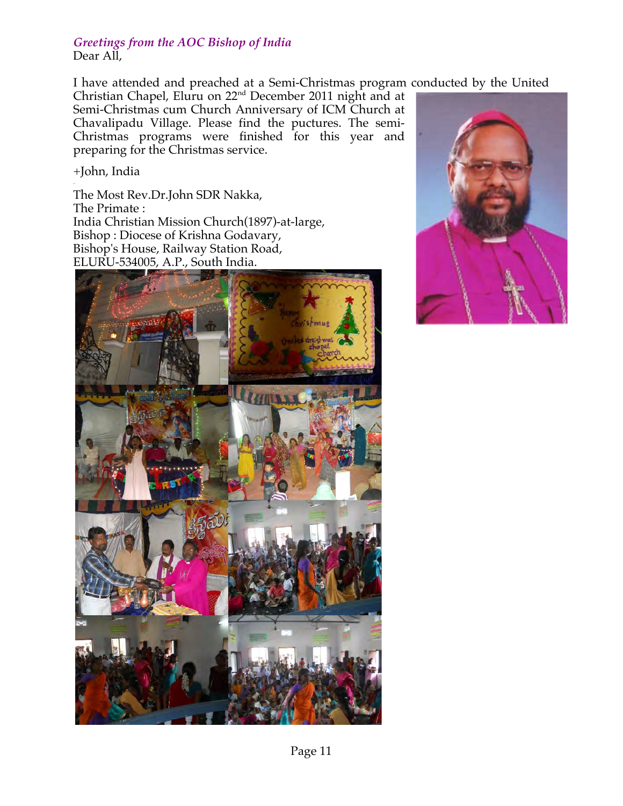#### *Greetings from the AOC Bishop of India* Dear All,

I have attended and preached at a Semi-Christmas program conducted by the United

Christian Chapel, Eluru on  $22<sup>nd</sup>$  December 2011 night and at Semi-Christmas cum Church Anniversary of ICM Church at Chavalipadu Village. Please find the puctures. The semi-Christmas programs were finished for this year and preparing for the Christmas service.

+John, India

The Most Rev.Dr.John SDR Nakka, The Primate : India Christian Mission Church(1897)-at-large, Bishop : Diocese of Krishna Godavary, Bishop's House, Railway Station Road, ELURU-534005, A.P., South India.



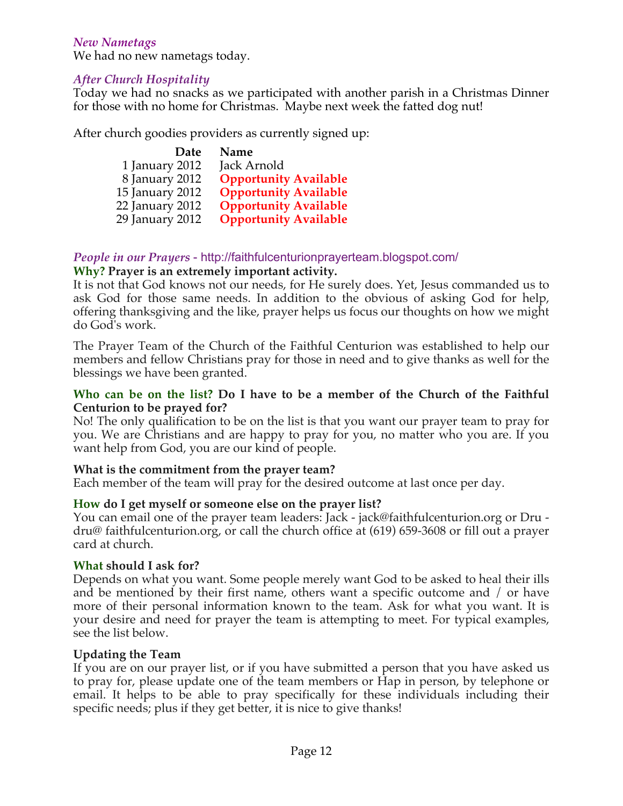## *New Nametags*

We had no new nametags today.

## *After Church Hospitality*

Today we had no snacks as we participated with another parish in a Christmas Dinner for those with no home for Christmas. Maybe next week the fatted dog nut!

After church goodies providers as currently signed up:

| Date            | Name                         |
|-----------------|------------------------------|
| 1 January 2012  | Jack Arnold                  |
| 8 January 2012  | <b>Opportunity Available</b> |
| 15 January 2012 | <b>Opportunity Available</b> |
| 22 January 2012 | <b>Opportunity Available</b> |
| 29 January 2012 | <b>Opportunity Available</b> |

#### *People in our Prayers* - http://faithfulcenturionprayerteam.blogspot.com/ **Why? Prayer is an extremely important activity.**

It is not that God knows not our needs, for He surely does. Yet, Jesus commanded us to ask God for those same needs. In addition to the obvious of asking God for help, offering thanksgiving and the like, prayer helps us focus our thoughts on how we might do God's work.

The Prayer Team of the Church of the Faithful Centurion was established to help our members and fellow Christians pray for those in need and to give thanks as well for the blessings we have been granted.

#### **Who can be on the list? Do I have to be a member of the Church of the Faithful Centurion to be prayed for?**

No! The only qualification to be on the list is that you want our prayer team to pray for you. We are Christians and are happy to pray for you, no matter who you are. If you want help from God, you are our kind of people.

## **What is the commitment from the prayer team?**

Each member of the team will pray for the desired outcome at last once per day.

## **How do I get myself or someone else on the prayer list?**

You can email one of the prayer team leaders: Jack - jack@faithfulcenturion.org or Dru dru@ faithfulcenturion.org, or call the church office at (619) 659-3608 or fill out a prayer card at church.

#### **What should I ask for?**

Depends on what you want. Some people merely want God to be asked to heal their ills and be mentioned by their first name, others want a specific outcome and / or have more of their personal information known to the team. Ask for what you want. It is your desire and need for prayer the team is attempting to meet. For typical examples, see the list below.

#### **Updating the Team**

If you are on our prayer list, or if you have submitted a person that you have asked us to pray for, please update one of the team members or Hap in person, by telephone or email. It helps to be able to pray specifically for these individuals including their specific needs; plus if they get better, it is nice to give thanks!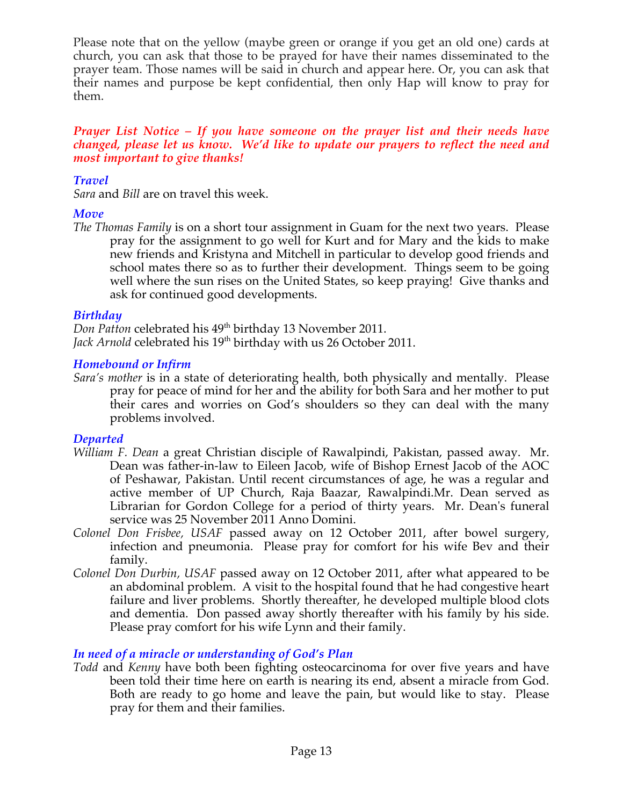Please note that on the yellow (maybe green or orange if you get an old one) cards at church, you can ask that those to be prayed for have their names disseminated to the prayer team. Those names will be said in church and appear here. Or, you can ask that their names and purpose be kept confidential, then only Hap will know to pray for them.

#### *Prayer List Notice – If you have someone on the prayer list and their needs have changed, please let us know. We'd like to update our prayers to reflect the need and most important to give thanks!*

## *Travel*

*Sara* and *Bill* are on travel this week.

## *Move*

*The Thomas Family* is on a short tour assignment in Guam for the next two years. Please pray for the assignment to go well for Kurt and for Mary and the kids to make new friends and Kristyna and Mitchell in particular to develop good friends and school mates there so as to further their development. Things seem to be going well where the sun rises on the United States, so keep praying! Give thanks and ask for continued good developments.

## *Birthday*

*Don Patton* celebrated his 49<sup>th</sup> birthday 13 November 2011. Jack Arnold celebrated his 19<sup>th</sup> birthday with us 26 October 2011.

## *Homebound or Infirm*

*Sara's mother* is in a state of deteriorating health, both physically and mentally. Please pray for peace of mind for her and the ability for both Sara and her mother to put their cares and worries on God's shoulders so they can deal with the many problems involved.

## *Departed*

- *William F. Dean* a great Christian disciple of Rawalpindi, Pakistan, passed away. Mr. Dean was father-in-law to Eileen Jacob, wife of Bishop Ernest Jacob of the AOC of Peshawar, Pakistan. Until recent circumstances of age, he was a regular and active member of UP Church, Raja Baazar, Rawalpindi.Mr. Dean served as Librarian for Gordon College for a period of thirty years. Mr. Dean's funeral service was 25 November 2011 Anno Domini.
- *Colonel Don Frisbee, USAF* passed away on 12 October 2011, after bowel surgery, infection and pneumonia. Please pray for comfort for his wife Bev and their family.
- *Colonel Don Durbin, USAF* passed away on 12 October 2011, after what appeared to be an abdominal problem. A visit to the hospital found that he had congestive heart failure and liver problems. Shortly thereafter, he developed multiple blood clots and dementia. Don passed away shortly thereafter with his family by his side. Please pray comfort for his wife Lynn and their family.

## *In need of a miracle or understanding of God's Plan*

*Todd* and *Kenny* have both been fighting osteocarcinoma for over five years and have been told their time here on earth is nearing its end, absent a miracle from God. Both are ready to go home and leave the pain, but would like to stay. Please pray for them and their families.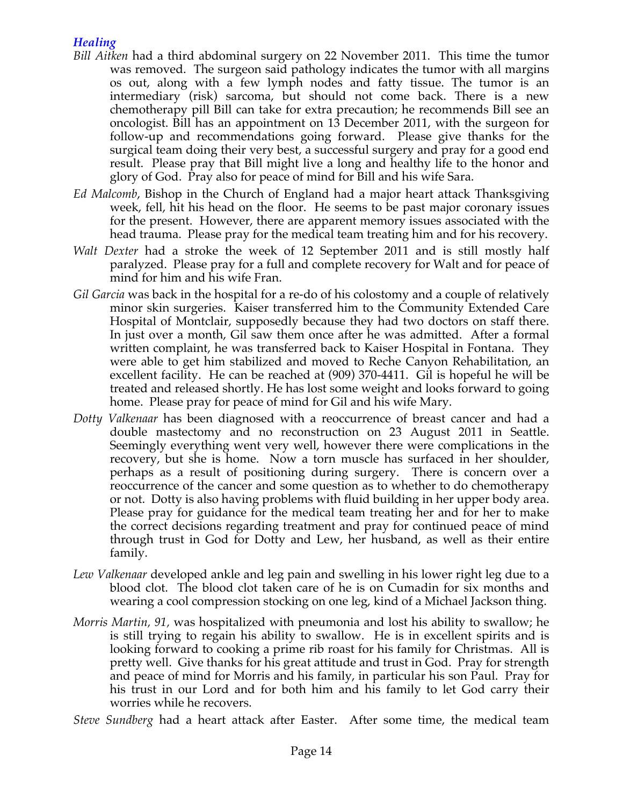## *Healing*

- *Bill Aitken* had a third abdominal surgery on 22 November 2011. This time the tumor was removed. The surgeon said pathology indicates the tumor with all margins os out, along with a few lymph nodes and fatty tissue. The tumor is an intermediary (risk) sarcoma, but should not come back. There is a new chemotherapy pill Bill can take for extra precaution; he recommends Bill see an oncologist. Bill has an appointment on 13 December 2011, with the surgeon for follow-up and recommendations going forward. Please give thanks for the surgical team doing their very best, a successful surgery and pray for a good end result. Please pray that Bill might live a long and healthy life to the honor and glory of God. Pray also for peace of mind for Bill and his wife Sara.
- *Ed Malcomb*, Bishop in the Church of England had a major heart attack Thanksgiving week, fell, hit his head on the floor. He seems to be past major coronary issues for the present. However, there are apparent memory issues associated with the head trauma. Please pray for the medical team treating him and for his recovery.
- *Walt Dexter* had a stroke the week of 12 September 2011 and is still mostly half paralyzed. Please pray for a full and complete recovery for Walt and for peace of mind for him and his wife Fran.
- *Gil Garcia* was back in the hospital for a re-do of his colostomy and a couple of relatively minor skin surgeries. Kaiser transferred him to the Community Extended Care Hospital of Montclair, supposedly because they had two doctors on staff there. In just over a month, Gil saw them once after he was admitted. After a formal written complaint, he was transferred back to Kaiser Hospital in Fontana. They were able to get him stabilized and moved to Reche Canyon Rehabilitation, an excellent facility. He can be reached at (909) 370-4411. Gil is hopeful he will be treated and released shortly. He has lost some weight and looks forward to going home. Please pray for peace of mind for Gil and his wife Mary.
- *Dotty Valkenaar* has been diagnosed with a reoccurrence of breast cancer and had a double mastectomy and no reconstruction on 23 August 2011 in Seattle. Seemingly everything went very well, however there were complications in the recovery, but she is home. Now a torn muscle has surfaced in her shoulder, perhaps as a result of positioning during surgery. There is concern over a reoccurrence of the cancer and some question as to whether to do chemotherapy or not. Dotty is also having problems with fluid building in her upper body area. Please pray for guidance for the medical team treating her and for her to make the correct decisions regarding treatment and pray for continued peace of mind through trust in God for Dotty and Lew, her husband, as well as their entire family.
- *Lew Valkenaar* developed ankle and leg pain and swelling in his lower right leg due to a blood clot. The blood clot taken care of he is on Cumadin for six months and wearing a cool compression stocking on one leg, kind of a Michael Jackson thing.
- *Morris Martin, 91,* was hospitalized with pneumonia and lost his ability to swallow; he is still trying to regain his ability to swallow. He is in excellent spirits and is looking forward to cooking a prime rib roast for his family for Christmas. All is pretty well. Give thanks for his great attitude and trust in God. Pray for strength and peace of mind for Morris and his family, in particular his son Paul. Pray for his trust in our Lord and for both him and his family to let God carry their worries while he recovers.
- *Steve Sundberg* had a heart attack after Easter. After some time, the medical team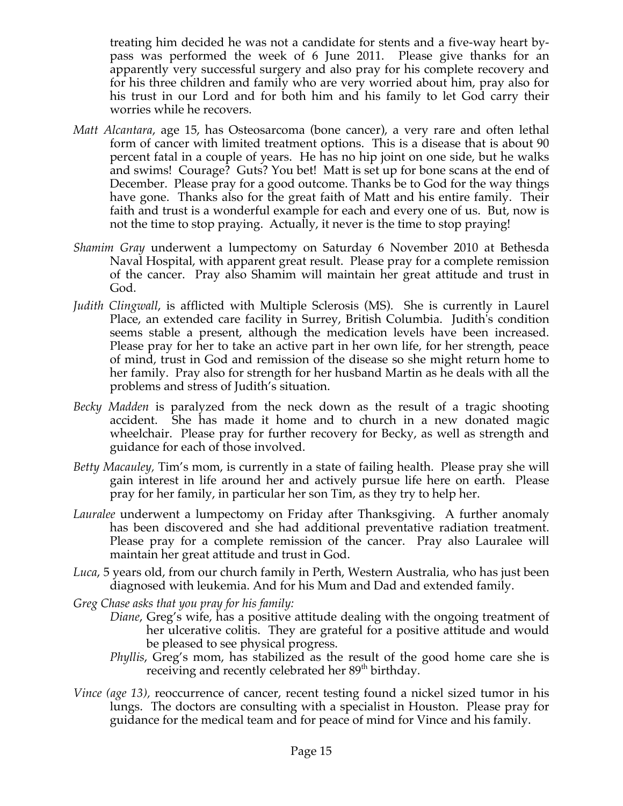treating him decided he was not a candidate for stents and a five-way heart bypass was performed the week of 6 June 2011. Please give thanks for an apparently very successful surgery and also pray for his complete recovery and for his three children and family who are very worried about him, pray also for his trust in our Lord and for both him and his family to let God carry their worries while he recovers.

- *Matt Alcantara*, age 15, has Osteosarcoma (bone cancer), a very rare and often lethal form of cancer with limited treatment options. This is a disease that is about 90 percent fatal in a couple of years. He has no hip joint on one side, but he walks and swims! Courage? Guts? You bet! Matt is set up for bone scans at the end of December. Please pray for a good outcome. Thanks be to God for the way things have gone. Thanks also for the great faith of Matt and his entire family. Their faith and trust is a wonderful example for each and every one of us. But, now is not the time to stop praying. Actually, it never is the time to stop praying!
- *Shamim Gray* underwent a lumpectomy on Saturday 6 November 2010 at Bethesda Naval Hospital, with apparent great result. Please pray for a complete remission of the cancer. Pray also Shamim will maintain her great attitude and trust in God.
- *Judith Clingwall*, is afflicted with Multiple Sclerosis (MS). She is currently in Laurel Place, an extended care facility in Surrey, British Columbia. Judith's condition seems stable a present, although the medication levels have been increased. Please pray for her to take an active part in her own life, for her strength, peace of mind, trust in God and remission of the disease so she might return home to her family. Pray also for strength for her husband Martin as he deals with all the problems and stress of Judith's situation.
- *Becky Madden* is paralyzed from the neck down as the result of a tragic shooting accident. She has made it home and to church in a new donated magic wheelchair. Please pray for further recovery for Becky, as well as strength and guidance for each of those involved.
- *Betty Macauley,* Tim's mom, is currently in a state of failing health. Please pray she will gain interest in life around her and actively pursue life here on earth. Please pray for her family, in particular her son Tim, as they try to help her.
- *Lauralee* underwent a lumpectomy on Friday after Thanksgiving. A further anomaly has been discovered and she had additional preventative radiation treatment. Please pray for a complete remission of the cancer. Pray also Lauralee will maintain her great attitude and trust in God.
- *Luca*, 5 years old, from our church family in Perth, Western Australia, who has just been diagnosed with leukemia. And for his Mum and Dad and extended family.

*Greg Chase asks that you pray for his family:*

- *Diane*, Greg's wife, has a positive attitude dealing with the ongoing treatment of her ulcerative colitis. They are grateful for a positive attitude and would be pleased to see physical progress.
- *Phyllis*, Greg's mom, has stabilized as the result of the good home care she is receiving and recently celebrated her 89<sup>th</sup> birthday.
- *Vince (age 13),* reoccurrence of cancer, recent testing found a nickel sized tumor in his lungs. The doctors are consulting with a specialist in Houston. Please pray for guidance for the medical team and for peace of mind for Vince and his family.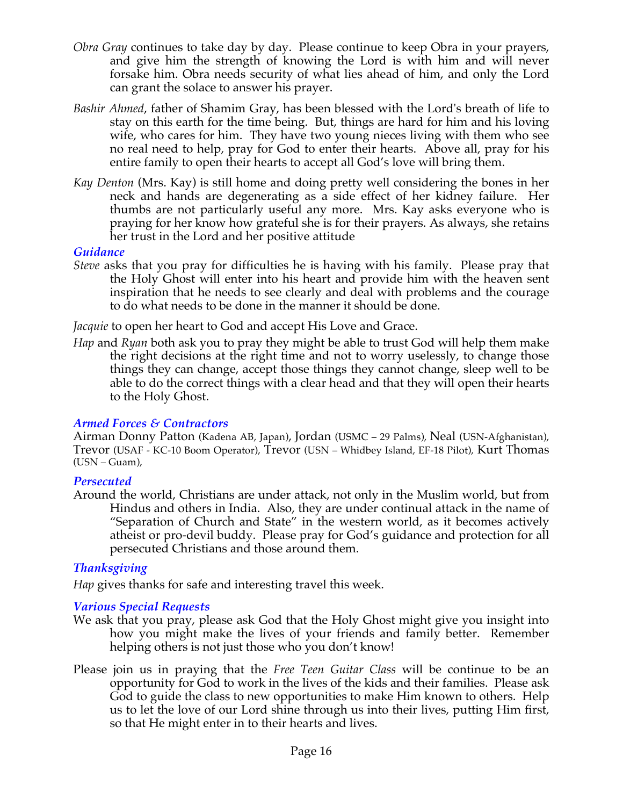- *Obra Gray* continues to take day by day. Please continue to keep Obra in your prayers, and give him the strength of knowing the Lord is with him and will never forsake him. Obra needs security of what lies ahead of him, and only the Lord can grant the solace to answer his prayer.
- *Bashir Ahmed*, father of Shamim Gray, has been blessed with the Lord's breath of life to stay on this earth for the time being. But, things are hard for him and his loving wife, who cares for him. They have two young nieces living with them who see no real need to help, pray for God to enter their hearts. Above all, pray for his entire family to open their hearts to accept all God's love will bring them.
- *Kay Denton* (Mrs. Kay) is still home and doing pretty well considering the bones in her neck and hands are degenerating as a side effect of her kidney failure. Her thumbs are not particularly useful any more. Mrs. Kay asks everyone who is praying for her know how grateful she is for their prayers. As always, she retains her trust in the Lord and her positive attitude.

#### *Guidance*

*Steve* asks that you pray for difficulties he is having with his family. Please pray that the Holy Ghost will enter into his heart and provide him with the heaven sent inspiration that he needs to see clearly and deal with problems and the courage to do what needs to be done in the manner it should be done.

*Jacquie* to open her heart to God and accept His Love and Grace.

*Hap* and *Ryan* both ask you to pray they might be able to trust God will help them make the right decisions at the right time and not to worry uselessly, to change those things they can change, accept those things they cannot change, sleep well to be able to do the correct things with a clear head and that they will open their hearts to the Holy Ghost.

## *Armed Forces & Contractors*

Airman Donny Patton (Kadena AB, Japan), Jordan (USMC – 29 Palms), Neal (USN-Afghanistan), Trevor (USAF - KC-10 Boom Operator), Trevor (USN – Whidbey Island, EF-18 Pilot), Kurt Thomas  $(USN - Guam)$ ,

## *Persecuted*

Around the world, Christians are under attack, not only in the Muslim world, but from Hindus and others in India. Also, they are under continual attack in the name of "Separation of Church and State" in the western world, as it becomes actively atheist or pro-devil buddy. Please pray for God's guidance and protection for all persecuted Christians and those around them.

## *Thanksgiving*

*Hap* gives thanks for safe and interesting travel this week.

## *Various Special Requests*

- We ask that you pray, please ask God that the Holy Ghost might give you insight into how you might make the lives of your friends and family better. Remember helping others is not just those who you don't know!
- Please join us in praying that the *Free Teen Guitar Class* will be continue to be an opportunity for God to work in the lives of the kids and their families. Please ask God to guide the class to new opportunities to make Him known to others. Help us to let the love of our Lord shine through us into their lives, putting Him first, so that He might enter in to their hearts and lives.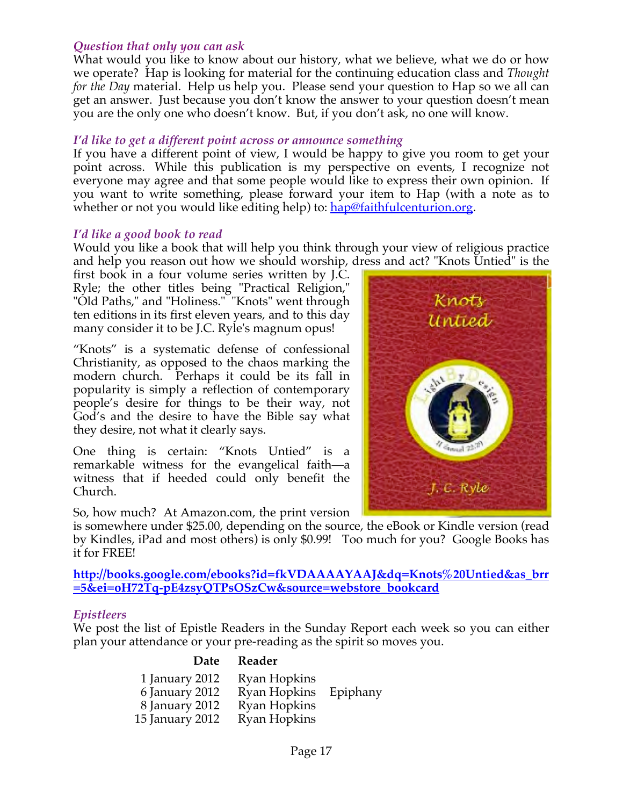## *Question that only you can ask*

What would you like to know about our history, what we believe, what we do or how we operate? Hap is looking for material for the continuing education class and *Thought for the Day* material. Help us help you. Please send your question to Hap so we all can get an answer. Just because you don't know the answer to your question doesn't mean you are the only one who doesn't know. But, if you don't ask, no one will know.

## *I'd like to get a different point across or announce something*

If you have a different point of view, I would be happy to give you room to get your point across. While this publication is my perspective on events, I recognize not everyone may agree and that some people would like to express their own opinion. If you want to write something, please forward your item to Hap (with a note as to whether or not you would like editing help) to: hap@faithfulcenturion.org.

## *I'd like a good book to read*

Would you like a book that will help you think through your view of religious practice and help you reason out how we should worship, dress and act? "Knots Untied" is the

first book in a four volume series written by J.C. Ryle; the other titles being "Practical Religion," "Old Paths," and "Holiness." "Knots" went through ten editions in its first eleven years, and to this day many consider it to be J.C. Ryle's magnum opus!

"Knots" is a systematic defense of confessional Christianity, as opposed to the chaos marking the modern church. Perhaps it could be its fall in popularity is simply a reflection of contemporary people's desire for things to be their way, not God's and the desire to have the Bible say what they desire, not what it clearly says.

One thing is certain: "Knots Untied" is a remarkable witness for the evangelical faith—a witness that if heeded could only benefit the Church.

So, how much? At Amazon.com, the print version

is somewhere under \$25.00, depending on the source, the eBook or Kindle version (read by Kindles, iPad and most others) is only \$0.99! Too much for you? Google Books has it for FREE!

**http://books.google.com/ebooks?id=fkVDAAAAYAAJ&dq=Knots%20Untied&as\_brr =5&ei=oH72Tq-pE4zsyQTPsOSzCw&source=webstore\_bookcard**

## *Epistleers*

We post the list of Epistle Readers in the Sunday Report each week so you can either plan your attendance or your pre-reading as the spirit so moves you.

#### **Date Reader**

| 1 January 2012  | Ryan Hopkins |          |
|-----------------|--------------|----------|
| 6 January 2012  | Ryan Hopkins | Epiphany |
| 8 January 2012  | Ryan Hopkins |          |
| 15 January 2012 | Ryan Hopkins |          |

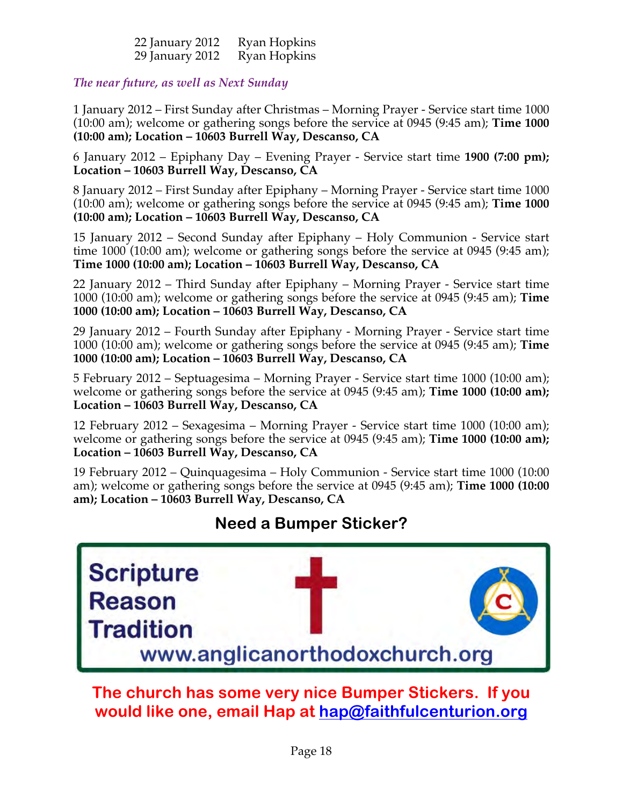| 22 January 2012 | <b>Ryan Hopkins</b> |
|-----------------|---------------------|
| 29 January 2012 | Ryan Hopkins        |

## *The near future, as well as Next Sunday*

1 January 2012 – First Sunday after Christmas – Morning Prayer - Service start time 1000 (10:00 am); welcome or gathering songs before the service at 0945 (9:45 am); **Time 1000 (10:00 am); Location – 10603 Burrell Way, Descanso, CA**

6 January 2012 – Epiphany Day – Evening Prayer - Service start time **1900 (7:00 pm); Location – 10603 Burrell Way, Descanso, CA**

8 January 2012 – First Sunday after Epiphany – Morning Prayer - Service start time 1000 (10:00 am); welcome or gathering songs before the service at 0945 (9:45 am); **Time 1000 (10:00 am); Location – 10603 Burrell Way, Descanso, CA**

15 January 2012 – Second Sunday after Epiphany – Holy Communion - Service start time 1000 (10:00 am); welcome or gathering songs before the service at 0945 (9:45 am); **Time 1000 (10:00 am); Location – 10603 Burrell Way, Descanso, CA**

22 January 2012 – Third Sunday after Epiphany – Morning Prayer - Service start time 1000 (10:00 am); welcome or gathering songs before the service at 0945 (9:45 am); **Time 1000 (10:00 am); Location – 10603 Burrell Way, Descanso, CA**

29 January 2012 – Fourth Sunday after Epiphany - Morning Prayer - Service start time 1000 (10:00 am); welcome or gathering songs before the service at 0945 (9:45 am); **Time 1000 (10:00 am); Location – 10603 Burrell Way, Descanso, CA**

5 February 2012 – Septuagesima – Morning Prayer - Service start time 1000 (10:00 am); welcome or gathering songs before the service at 0945 (9:45 am); **Time 1000 (10:00 am); Location – 10603 Burrell Way, Descanso, CA**

12 February 2012 – Sexagesima – Morning Prayer - Service start time 1000 (10:00 am); welcome or gathering songs before the service at 0945 (9:45 am); **Time 1000 (10:00 am); Location – 10603 Burrell Way, Descanso, CA**

19 February 2012 – Quinquagesima – Holy Communion - Service start time 1000 (10:00 am); welcome or gathering songs before the service at 0945 (9:45 am); **Time 1000 (10:00 am); Location – 10603 Burrell Way, Descanso, CA**

## **Need a Bumper Sticker?**



**The church has some very nice Bumper Stickers. If you would like one, email Hap at hap@faithfulcenturion.org**